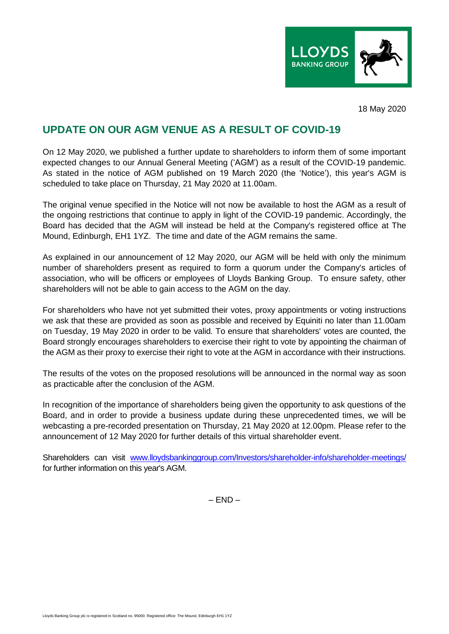

18 May 2020

## **UPDATE ON OUR AGM VENUE AS A RESULT OF COVID-19**

On 12 May 2020, we published a further update to shareholders to inform them of some important expected changes to our Annual General Meeting ('AGM') as a result of the COVID-19 pandemic. As stated in the notice of AGM published on 19 March 2020 (the 'Notice'), this year's AGM is scheduled to take place on Thursday, 21 May 2020 at 11.00am.

The original venue specified in the Notice will not now be available to host the AGM as a result of the ongoing restrictions that continue to apply in light of the COVID-19 pandemic. Accordingly, the Board has decided that the AGM will instead be held at the Company's registered office at The Mound, Edinburgh, EH1 1YZ. The time and date of the AGM remains the same.

As explained in our announcement of 12 May 2020, our AGM will be held with only the minimum number of shareholders present as required to form a quorum under the Company's articles of association, who will be officers or employees of Lloyds Banking Group. To ensure safety, other shareholders will not be able to gain access to the AGM on the day.

For shareholders who have not yet submitted their votes, proxy appointments or voting instructions we ask that these are provided as soon as possible and received by Equiniti no later than 11.00am on Tuesday, 19 May 2020 in order to be valid. To ensure that shareholders' votes are counted, the Board strongly encourages shareholders to exercise their right to vote by appointing the chairman of the AGM as their proxy to exercise their right to vote at the AGM in accordance with their instructions.

The results of the votes on the proposed resolutions will be announced in the normal way as soon as practicable after the conclusion of the AGM.

In recognition of the importance of shareholders being given the opportunity to ask questions of the Board, and in order to provide a business update during these unprecedented times, we will be webcasting a pre-recorded presentation on Thursday, 21 May 2020 at 12.00pm. Please refer to the announcement of 12 May 2020 for further details of this virtual shareholder event.

Shareholders can visit [www.lloydsbankinggroup.com/Investors/shareholder-info/shareholder-meetings/](http://www.lloydsbankinggroup.com/Investors/shareholder-info/shareholder-meetings/) for further information on this year's AGM.

 $-$  FND  $-$